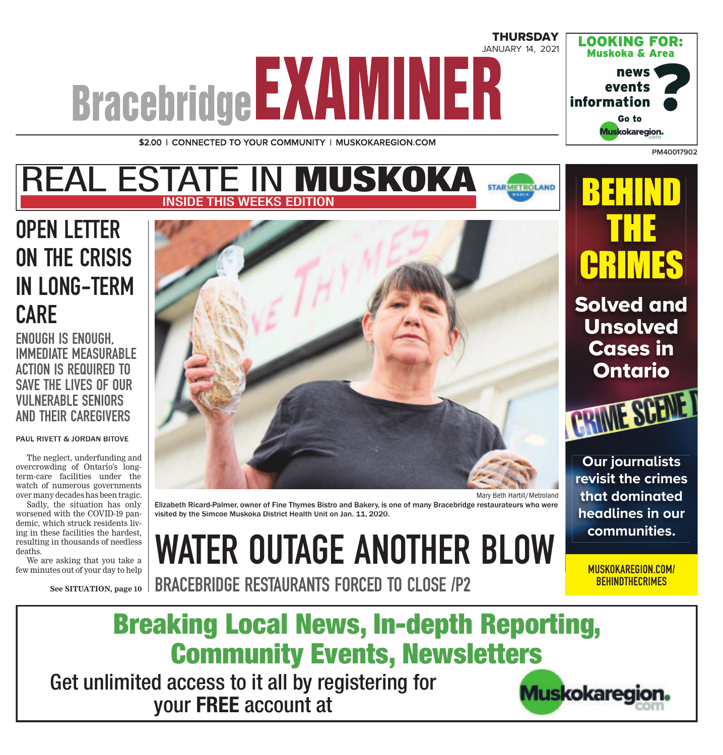# **THURSDAY** JANUARY 14, 2021 **Bracebridge EXAMINER**

\$2.00 | CONNECTED TO YOUR COMMUNITY | MUSKOKAREGION.COM

#### REAL ESTATE IN **MUSKOKA STARMETROLAND** THIS WEEKS EDITION

### OPEN LETTER ON THE CRISIS IN LONG-TERM CARE

ENOUGH IS ENOUGH, IMMEDIATE MEASURABLE ACTION IS REQUIRED TO SAVE THE LIVES OF OUR VULNERABLE SENIORS AND THEIR CAREGIVERS

#### PAUL RIVETT & JORDAN BITOVE

The neglect, underfunding and overcrowding of Ontario's longterm-care facilities under the watch of numerous governments over many decades has been tragic.

Sadly, the situation has only worsened with the COVID-19 pandemic, which struck residents living in these facilities the hardest, resulting in thousands of needless deaths.

We are asking that you take a few minutes out of your day to help

**See SITUATION, page 10**



Elizabeth Ricard-Palmer, owner of Fine Thymes Bistro and Bakery, is one of many Bracebridge restaurateurs who were visited by the Simcoe Muskoka District Health Unit on Jan. 11, 2020.

WATER OUTAGE ANOTHER BLOW

**communities.** MUSKOKAREGION.COM/ **BEHINDTHECRIMES** 

BRACEBRIDGE RESTAURANTS FORCED TO CLOSE /P2



Get unlimited access to it all by registering for your **FREE** account at



**PM40017902**

LOOKING FOR: Muskoka & Area

> news events

> > Go to

Muskokaregion.

BEHIND

THE

CRIMES

Solved and

Unsolved

Cases in

Ontario

**Our journalists revisit the crimes that dominated headlines in our** 

information